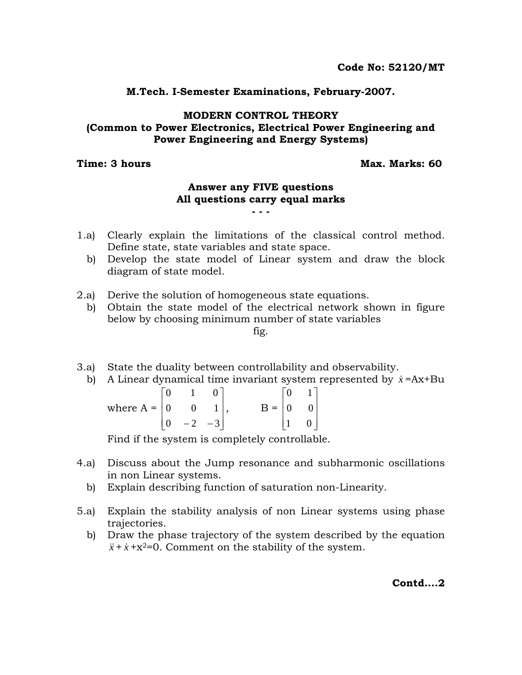**M.Tech. I-Semester Examinations, February-2007.** 

## **MODERN CONTROL THEORY (Common to Power Electronics, Electrical Power Engineering and Power Engineering and Energy Systems)**

**Time: 3 hours Community Community Community Community Community Community Community Community Community Community** 

## **Answer any FIVE questions All questions carry equal marks - - -**

- 1.a) Clearly explain the limitations of the classical control method. Define state, state variables and state space.
	- b) Develop the state model of Linear system and draw the block diagram of state model.
- 2.a) Derive the solution of homogeneous state equations.

b) Obtain the state model of the electrical network shown in figure below by choosing minimum number of state variables fig.

- 3.a) State the duality between controllability and observability.
	- b) A Linear dynamical time invariant system represented by  $\dot{x} = Ax + Bu$

|                                                       | $\begin{array}{ccc} & 1 \end{array}$        |  |                                           | $\vert 0 \vert$ | $\begin{array}{c c} 1 \end{array}$ |  |
|-------------------------------------------------------|---------------------------------------------|--|-------------------------------------------|-----------------|------------------------------------|--|
| where $A = \begin{bmatrix} 0 & 0 & 1 \end{bmatrix}$ , |                                             |  | $B = \begin{vmatrix} 0 & 0 \end{vmatrix}$ |                 |                                    |  |
|                                                       | $\begin{vmatrix} 0 & -2 & -3 \end{vmatrix}$ |  |                                           |                 | 0 <sup>1</sup>                     |  |

Find if the system is completely controllable.

- 4.a) Discuss about the Jump resonance and subharmonic oscillations in non Linear systems.
	- b) Explain describing function of saturation non-Linearity.
- 5.a) Explain the stability analysis of non Linear systems using phase trajectories.
	- b) Draw the phase trajectory of the system described by the equation  $\ddot{x}$  +  $\dot{x}$  +  $x$ <sup>2=</sup>0. Comment on the stability of the system.

**Contd….2**